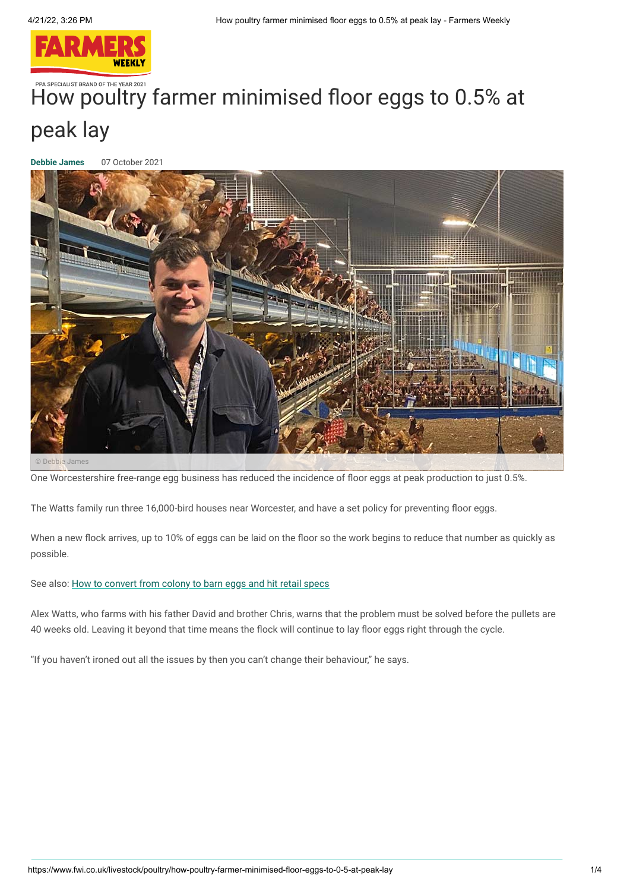

# PPA SPECIALIST BRAND OF THE YEAR 2021 [How poultry](https://www.fwi.co.uk/) farmer minimised floor eggs to 0.5% at peak lay

**[Debbie James](https://www.fwi.co.uk/author/debbie-james)** 07 October 2021



© Debbie James

One Worcestershire free-range egg business has reduced the incidence of floor eggs at peak production to just 0.5%.

The Watts family run three 16,000-bird houses near Worcester, and have a set policy for preventing floor eggs.

When a new flock arrives, up to 10% of eggs can be laid on the floor so the work begins to reduce that number as quickly as possible.

See also: [How to convert from colony to barn eggs and hit retail specs](https://www.fwi.co.uk/livestock/housing/how-to-convert-from-colony-to-barn-eggs-and-hit-retail-specs)

Alex Watts, who farms with his father David and brother Chris, warns that the problem must be solved before the pullets are 40 weeks old. Leaving it beyond that time means the flock will continue to lay floor eggs right through the cycle.

"If you haven't ironed out all the issues by then you can't change their behaviour," he says.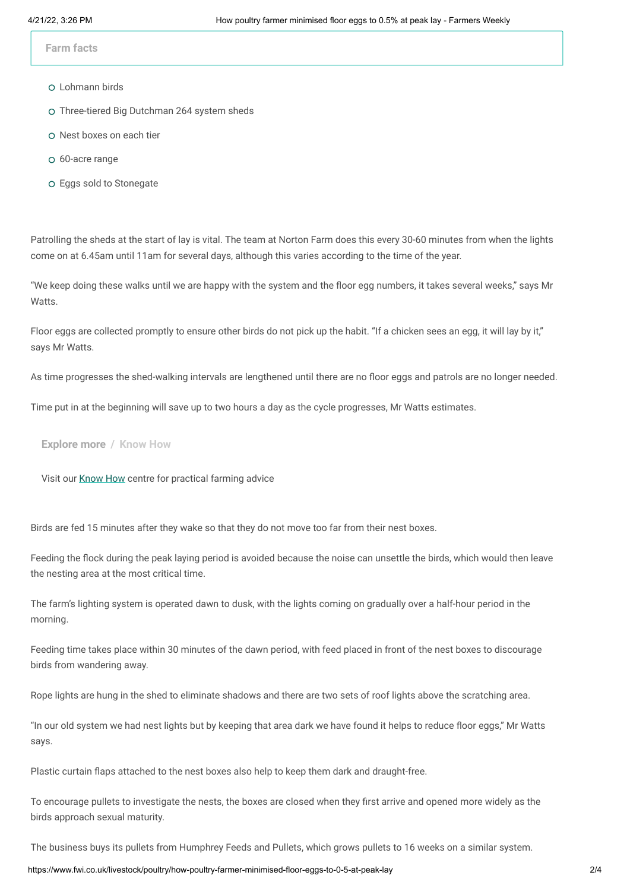**Farm facts** 

- Lohmann birds
- Three-tiered Big Dutchman 264 system sheds
- o Nest boxes on each tier
- 60-acre range
- Eggs sold to Stonegate

Patrolling the sheds at the start of lay is vital. The team at Norton Farm does this every 30-60 minutes from when the lights come on at 6.45am until 11am for several days, although this varies according to the time of the year.

"We keep doing these walks until we are happy with the system and the floor egg numbers, it takes several weeks," says Mr Watts.

Floor eggs are collected promptly to ensure other birds do not pick up the habit. "If a chicken sees an egg, it will lay by it," says Mr Watts.

As time progresses the shed-walking intervals are lengthened until there are no floor eggs and patrols are no longer needed.

Time put in at the beginning will save up to two hours a day as the cycle progresses, Mr Watts estimates.

### **Explore more / Know How**

Visit our [Know How](https://www.fwi.co.uk/know-how) centre for practical farming advice

Birds are fed 15 minutes after they wake so that they do not move too far from their nest boxes.

Feeding the flock during the peak laying period is avoided because the noise can unsettle the birds, which would then leave the nesting area at the most critical time.

The farm's lighting system is operated dawn to dusk, with the lights coming on gradually over a half-hour period in the morning.

Feeding time takes place within 30 minutes of the dawn period, with feed placed in front of the nest boxes to discourage birds from wandering away.

Rope lights are hung in the shed to eliminate shadows and there are two sets of roof lights above the scratching area.

"In our old system we had nest lights but by keeping that area dark we have found it helps to reduce floor eggs," Mr Watts says.

Plastic curtain flaps attached to the nest boxes also help to keep them dark and draught-free.

To encourage pullets to investigate the nests, the boxes are closed when they first arrive and opened more widely as the birds approach sexual maturity.

The business buys its pullets from Humphrey Feeds and Pullets, which grows pullets to 16 weeks on a similar system.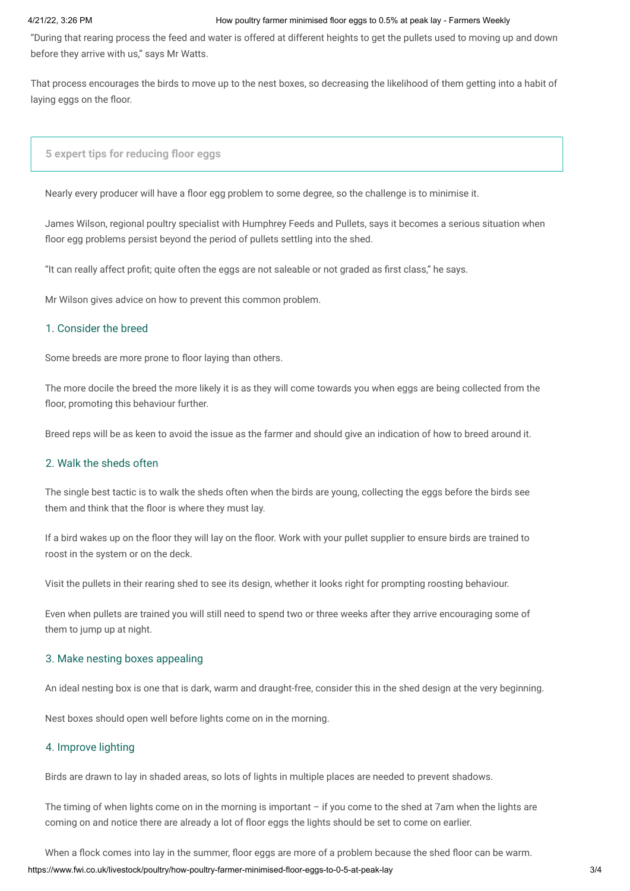#### 4/21/22, 3:26 PM How poultry farmer minimised floor eggs to 0.5% at peak lay - Farmers Weekly

"During that rearing process the feed and water is offered at different heights to get the pullets used to moving up and down before they arrive with us," says Mr Watts.

That process encourages the birds to move up to the nest boxes, so decreasing the likelihood of them getting into a habit of laying eggs on the floor.

# **5 expert tips for reducing floor eggs**

Nearly every producer will have a floor egg problem to some degree, so the challenge is to minimise it.

James Wilson, regional poultry specialist with Humphrey Feeds and Pullets, says it becomes a serious situation when floor egg problems persist beyond the period of pullets settling into the shed.

"It can really affect profit; quite often the eggs are not saleable or not graded as first class," he says.

Mr Wilson gives advice on how to prevent this common problem.

#### 1. Consider the breed

Some breeds are more prone to floor laying than others.

The more docile the breed the more likely it is as they will come towards you when eggs are being collected from the floor, promoting this behaviour further.

Breed reps will be as keen to avoid the issue as the farmer and should give an indication of how to breed around it.

## 2. Walk the sheds often

The single best tactic is to walk the sheds often when the birds are young, collecting the eggs before the birds see them and think that the floor is where they must lay.

If a bird wakes up on the floor they will lay on the floor. Work with your pullet supplier to ensure birds are trained to roost in the system or on the deck.

Visit the pullets in their rearing shed to see its design, whether it looks right for prompting roosting behaviour.

Even when pullets are trained you will still need to spend two or three weeks after they arrive encouraging some of them to jump up at night.

#### 3. Make nesting boxes appealing

An ideal nesting box is one that is dark, warm and draught-free, consider this in the shed design at the very beginning.

Nest boxes should open well before lights come on in the morning.

# 4. Improve lighting

Birds are drawn to lay in shaded areas, so lots of lights in multiple places are needed to prevent shadows.

The timing of when lights come on in the morning is important – if you come to the shed at 7am when the lights are coming on and notice there are already a lot of floor eggs the lights should be set to come on earlier.

When a flock comes into lay in the summer, floor eggs are more of a problem because the shed floor can be warm.